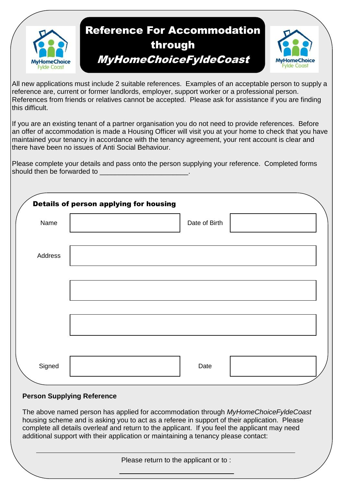

All new applications must include 2 suitable references. Examples of an acceptable person to supply a reference are, current or former landlords, employer, support worker or a professional person. References from friends or relatives cannot be accepted. Please ask for assistance if you are finding this difficult.

If you are an existing tenant of a partner organisation you do not need to provide references. Before an offer of accommodation is made a Housing Officer will visit you at your home to check that you have maintained your tenancy in accordance with the tenancy agreement, your rent account is clear and there have been no issues of Anti Social Behaviour.

Please complete your details and pass onto the person supplying your reference. Completed forms should then be forwarded to \_\_\_\_\_\_\_\_\_\_\_\_\_\_\_\_\_\_\_\_\_\_\_.

|         | Details of person applying for housing |               |  |
|---------|----------------------------------------|---------------|--|
| Name    |                                        | Date of Birth |  |
| Address |                                        |               |  |
|         |                                        |               |  |
|         |                                        |               |  |
|         |                                        |               |  |
| Signed  |                                        | Date          |  |

## **Person Supplying Reference**

The above named person has applied for accommodation through *MyHomeChoiceFyldeCoast* housing scheme and is asking you to act as a referee in support of their application. Please complete all details overleaf and return to the applicant. If you feel the applicant may need additional support with their application or maintaining a tenancy please contact:

Please return to the applicant or to :